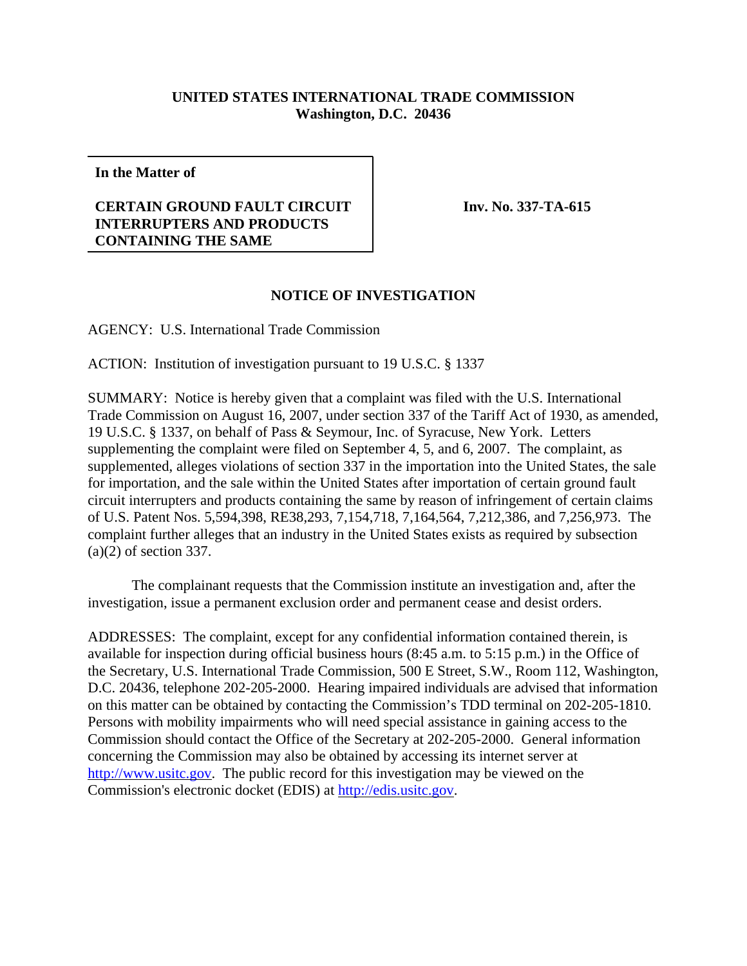## **UNITED STATES INTERNATIONAL TRADE COMMISSION Washington, D.C. 20436**

**In the Matter of**

## **CERTAIN GROUND FAULT CIRCUIT INTERRUPTERS AND PRODUCTS CONTAINING THE SAME**

**Inv. No. 337-TA-615**

## **NOTICE OF INVESTIGATION**

AGENCY: U.S. International Trade Commission

ACTION: Institution of investigation pursuant to 19 U.S.C. § 1337

SUMMARY: Notice is hereby given that a complaint was filed with the U.S. International Trade Commission on August 16, 2007, under section 337 of the Tariff Act of 1930, as amended, 19 U.S.C. § 1337, on behalf of Pass & Seymour, Inc. of Syracuse, New York. Letters supplementing the complaint were filed on September 4, 5, and 6, 2007. The complaint, as supplemented, alleges violations of section 337 in the importation into the United States, the sale for importation, and the sale within the United States after importation of certain ground fault circuit interrupters and products containing the same by reason of infringement of certain claims of U.S. Patent Nos. 5,594,398, RE38,293, 7,154,718, 7,164,564, 7,212,386, and 7,256,973. The complaint further alleges that an industry in the United States exists as required by subsection (a)(2) of section 337.

The complainant requests that the Commission institute an investigation and, after the investigation, issue a permanent exclusion order and permanent cease and desist orders.

ADDRESSES: The complaint, except for any confidential information contained therein, is available for inspection during official business hours (8:45 a.m. to 5:15 p.m.) in the Office of the Secretary, U.S. International Trade Commission, 500 E Street, S.W., Room 112, Washington, D.C. 20436, telephone 202-205-2000. Hearing impaired individuals are advised that information on this matter can be obtained by contacting the Commission's TDD terminal on 202-205-1810. Persons with mobility impairments who will need special assistance in gaining access to the Commission should contact the Office of the Secretary at 202-205-2000. General information concerning the Commission may also be obtained by accessing its internet server at http://www.usitc.gov. The public record for this investigation may be viewed on the Commission's electronic docket (EDIS) at http://edis.usitc.gov.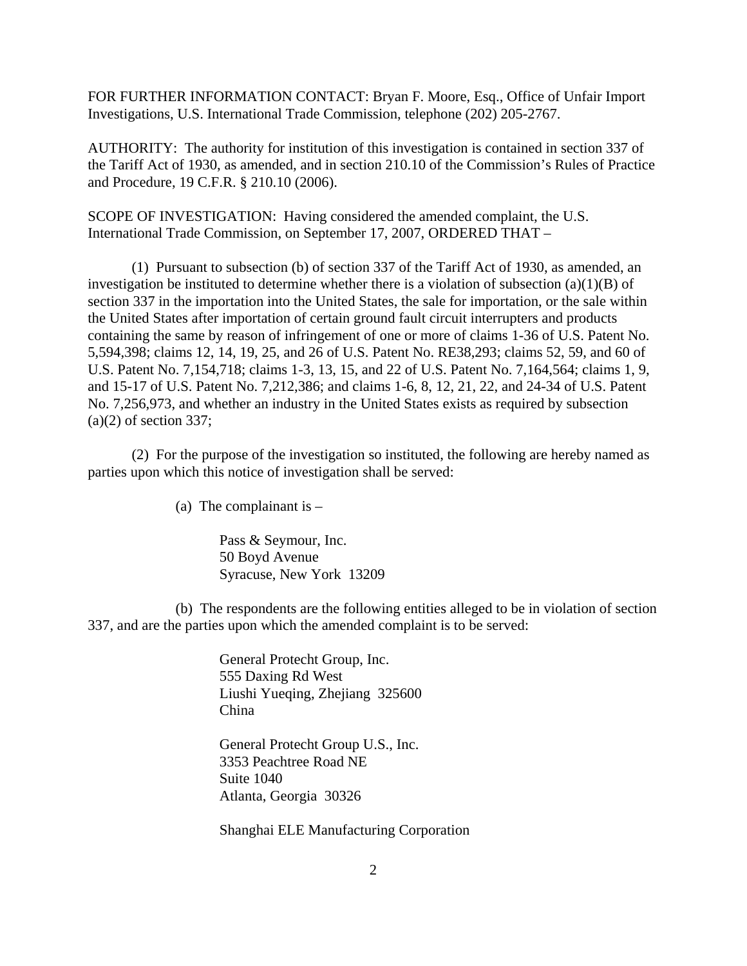FOR FURTHER INFORMATION CONTACT: Bryan F. Moore, Esq., Office of Unfair Import Investigations, U.S. International Trade Commission, telephone (202) 205-2767.

AUTHORITY: The authority for institution of this investigation is contained in section 337 of the Tariff Act of 1930, as amended, and in section 210.10 of the Commission's Rules of Practice and Procedure, 19 C.F.R. § 210.10 (2006).

SCOPE OF INVESTIGATION: Having considered the amended complaint, the U.S. International Trade Commission, on September 17, 2007, ORDERED THAT –

(1) Pursuant to subsection (b) of section 337 of the Tariff Act of 1930, as amended, an investigation be instituted to determine whether there is a violation of subsection (a)(1)(B) of section 337 in the importation into the United States, the sale for importation, or the sale within the United States after importation of certain ground fault circuit interrupters and products containing the same by reason of infringement of one or more of claims 1-36 of U.S. Patent No. 5,594,398; claims 12, 14, 19, 25, and 26 of U.S. Patent No. RE38,293; claims 52, 59, and 60 of U.S. Patent No. 7,154,718; claims 1-3, 13, 15, and 22 of U.S. Patent No. 7,164,564; claims 1, 9, and 15-17 of U.S. Patent No. 7,212,386; and claims 1-6, 8, 12, 21, 22, and 24-34 of U.S. Patent No. 7,256,973, and whether an industry in the United States exists as required by subsection  $(a)(2)$  of section 337;

(2) For the purpose of the investigation so instituted, the following are hereby named as parties upon which this notice of investigation shall be served:

(a) The complainant is  $-$ 

Pass & Seymour, Inc. 50 Boyd Avenue Syracuse, New York 13209

(b) The respondents are the following entities alleged to be in violation of section 337, and are the parties upon which the amended complaint is to be served:

> General Protecht Group, Inc. 555 Daxing Rd West Liushi Yueqing, Zhejiang 325600 China

General Protecht Group U.S., Inc. 3353 Peachtree Road NE Suite 1040 Atlanta, Georgia 30326

Shanghai ELE Manufacturing Corporation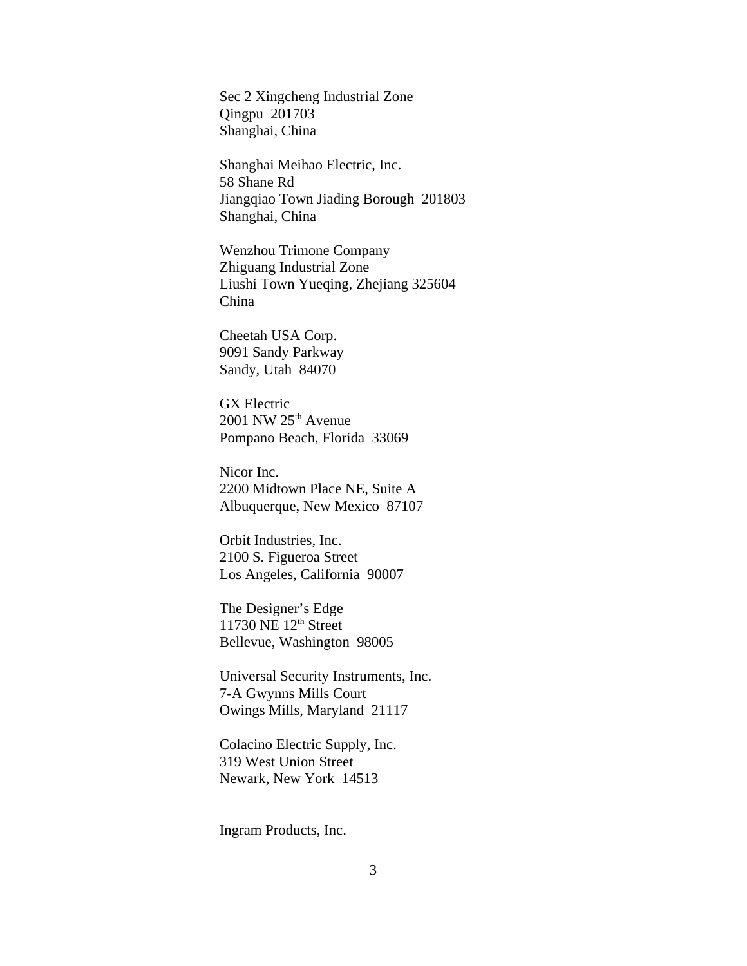Sec 2 Xingcheng Industrial Zone Qingpu 201703 Shanghai, China

Shanghai Meihao Electric, Inc. 58 Shane Rd Jiangqiao Town Jiading Borough 201803 Shanghai, China

Wenzhou Trimone Company Zhiguang Industrial Zone Liushi Town Yueqing, Zhejiang 325604 China

Cheetah USA Corp. 9091 Sandy Parkway Sandy, Utah 84070

GX Electric 2001 NW 25th Avenue Pompano Beach, Florida 33069

Nicor Inc. 2200 Midtown Place NE, Suite A Albuquerque, New Mexico 87107

Orbit Industries, Inc. 2100 S. Figueroa Street Los Angeles, California 90007

The Designer's Edge 11730 NE  $12<sup>th</sup>$  Street Bellevue, Washington 98005

Universal Security Instruments, Inc. 7-A Gwynns Mills Court Owings Mills, Maryland 21117

Colacino Electric Supply, Inc. 319 West Union Street Newark, New York 14513

Ingram Products, Inc.